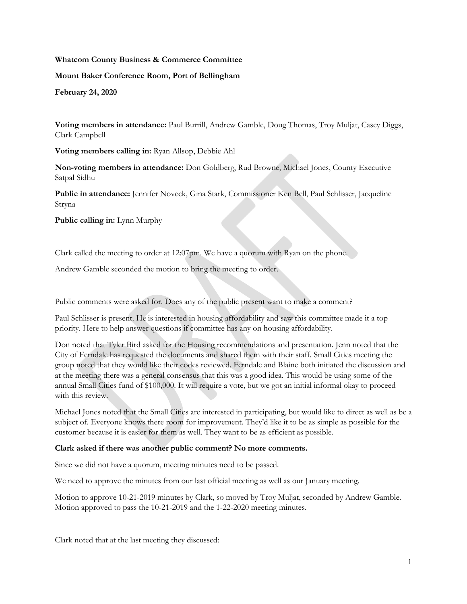# **Whatcom County Business & Commerce Committee**

**Mount Baker Conference Room, Port of Bellingham**

**February 24, 2020**

**Voting members in attendance:** Paul Burrill, Andrew Gamble, Doug Thomas, Troy Muljat, Casey Diggs, Clark Campbell

**Voting members calling in:** Ryan Allsop, Debbie Ahl

**Non-voting members in attendance:** Don Goldberg, Rud Browne, Michael Jones, County Executive Satpal Sidhu

**Public in attendance:** Jennifer Noveck, Gina Stark, Commissioner Ken Bell, Paul Schlisser, Jacqueline Stryna

**Public calling in:** Lynn Murphy

Clark called the meeting to order at 12:07pm. We have a quorum with Ryan on the phone.

Andrew Gamble seconded the motion to bring the meeting to order.

Public comments were asked for. Does any of the public present want to make a comment?

Paul Schlisser is present. He is interested in housing affordability and saw this committee made it a top priority. Here to help answer questions if committee has any on housing affordability.

Don noted that Tyler Bird asked for the Housing recommendations and presentation. Jenn noted that the City of Ferndale has requested the documents and shared them with their staff. Small Cities meeting the group noted that they would like their codes reviewed. Ferndale and Blaine both initiated the discussion and at the meeting there was a general consensus that this was a good idea. This would be using some of the annual Small Cities fund of \$100,000. It will require a vote, but we got an initial informal okay to proceed with this review.

Michael Jones noted that the Small Cities are interested in participating, but would like to direct as well as be a subject of. Everyone knows there room for improvement. They'd like it to be as simple as possible for the customer because it is easier for them as well. They want to be as efficient as possible.

### **Clark asked if there was another public comment? No more comments.**

Since we did not have a quorum, meeting minutes need to be passed.

We need to approve the minutes from our last official meeting as well as our January meeting.

Motion to approve 10-21-2019 minutes by Clark, so moved by Troy Muljat, seconded by Andrew Gamble. Motion approved to pass the 10-21-2019 and the 1-22-2020 meeting minutes.

Clark noted that at the last meeting they discussed: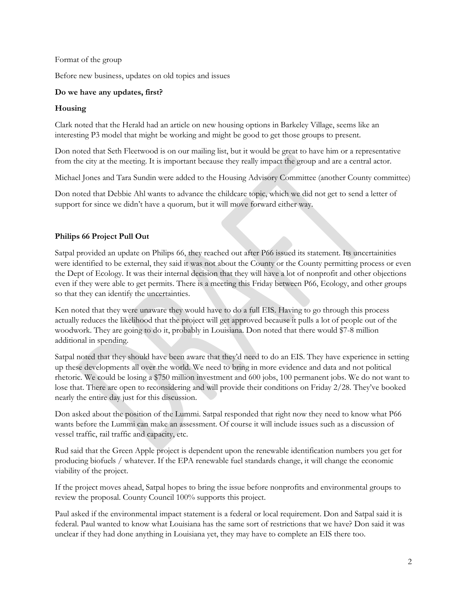## Format of the group

Before new business, updates on old topics and issues

## **Do we have any updates, first?**

## **Housing**

Clark noted that the Herald had an article on new housing options in Barkeley Village, seems like an interesting P3 model that might be working and might be good to get those groups to present.

Don noted that Seth Fleetwood is on our mailing list, but it would be great to have him or a representative from the city at the meeting. It is important because they really impact the group and are a central actor.

Michael Jones and Tara Sundin were added to the Housing Advisory Committee (another County committee)

Don noted that Debbie Ahl wants to advance the childcare topic, which we did not get to send a letter of support for since we didn't have a quorum, but it will move forward either way.

# **Philips 66 Project Pull Out**

Satpal provided an update on Philips 66, they reached out after P66 issued its statement. Its uncertainities were identified to be external, they said it was not about the County or the County permitting process or even the Dept of Ecology. It was their internal decision that they will have a lot of nonprofit and other objections even if they were able to get permits. There is a meeting this Friday between P66, Ecology, and other groups so that they can identify the uncertainties.

Ken noted that they were unaware they would have to do a full EIS. Having to go through this process actually reduces the likelihood that the project will get approved because it pulls a lot of people out of the woodwork. They are going to do it, probably in Louisiana. Don noted that there would \$7-8 million additional in spending.

Satpal noted that they should have been aware that they'd need to do an EIS. They have experience in setting up these developments all over the world. We need to bring in more evidence and data and not political rhetoric. We could be losing a \$750 million investment and 600 jobs, 100 permanent jobs. We do not want to lose that. There are open to reconsidering and will provide their conditions on Friday 2/28. They've booked nearly the entire day just for this discussion.

Don asked about the position of the Lummi. Satpal responded that right now they need to know what P66 wants before the Lummi can make an assessment. Of course it will include issues such as a discussion of vessel traffic, rail traffic and capacity, etc.

Rud said that the Green Apple project is dependent upon the renewable identification numbers you get for producing biofuels / whatever. If the EPA renewable fuel standards change, it will change the economic viability of the project.

If the project moves ahead, Satpal hopes to bring the issue before nonprofits and environmental groups to review the proposal. County Council 100% supports this project.

Paul asked if the environmental impact statement is a federal or local requirement. Don and Satpal said it is federal. Paul wanted to know what Louisiana has the same sort of restrictions that we have? Don said it was unclear if they had done anything in Louisiana yet, they may have to complete an EIS there too.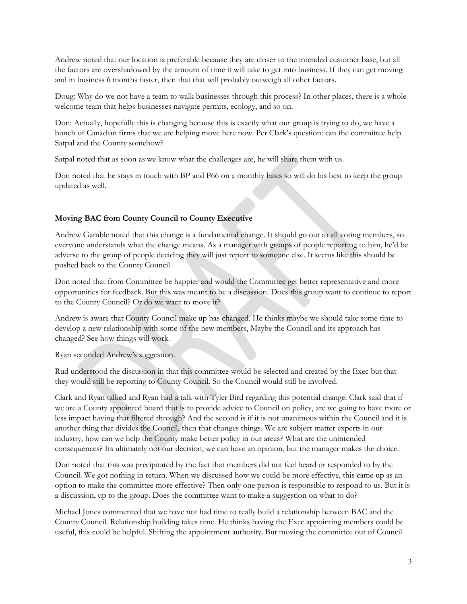Andrew noted that our location is preferable because they are closer to the intended customer base, but all the factors are overshadowed by the amount of time it will take to get into business. If they can get moving and in business 6 months faster, then that that will probably outweigh all other factors.

Doug: Why do we not have a team to walk businesses through this process? In other places, there is a whole welcome team that helps businesses navigate permits, ecology, and so on.

Don: Actually, hopefully this is changing because this is exactly what our group is trying to do, we have a bunch of Canadian firms that we are helping move here now. Per Clark's question: can the committee help Satpal and the County somehow?

Satpal noted that as soon as we know what the challenges are, he will share them with us.

Don noted that he stays in touch with BP and P66 on a monthly basis so will do his best to keep the group updated as well.

# **Moving BAC from County Council to County Executive**

Andrew Gamble noted that this change is a fundamental change. It should go out to all voting members, so everyone understands what the change means. As a manager with groups of people reporting to him, he'd be adverse to the group of people deciding they will just report to someone else. It seems like this should be pushed back to the County Council.

Don noted that from Committee be happier and would the Committee get better representative and more opportunities for feedback. But this was meant to be a discussion. Does this group want to continue to report to the County Council? Or do we want to move it?

Andrew is aware that County Council make up has changed. He thinks maybe we should take some time to develop a new relationship with some of the new members, Maybe the Council and its approach has changed? See how things will work.

Ryan seconded Andrew's suggestion.

Rud understood the discussion in that this committee would be selected and created by the Exec but that they would still be reporting to County Council. So the Council would still be involved.

Clark and Ryan talked and Ryan had a talk with Tyler Bird regarding this potential change. Clark said that if we are a County appointed board that is to provide advice to Council on policy, are we going to have more or less impact having that filtered through? And the second is if it is not unanimous within the Council and it is another thing that divides the Council, then that changes things. We are subject matter experts in our industry, how can we help the County make better policy in our areas? What are the unintended consequences? Its ultimately not our decision, we can have an opinion, but the manager makes the choice.

Don noted that this was precipitated by the fact that members did not feel heard or responded to by the Council. We got nothing in return. When we discussed how we could be more effective, this came up as an option to make the committee more effective? Then only one person is responsible to respond to us. But it is a discussion, up to the group. Does the committee want to make a suggestion on what to do?

Michael Jones commented that we have not had time to really build a relationship between BAC and the County Council. Relationship building takes time. He thinks having the Exec appointing members could be useful, this could be helpful. Shifting the appointment authority. But moving the committee out of Council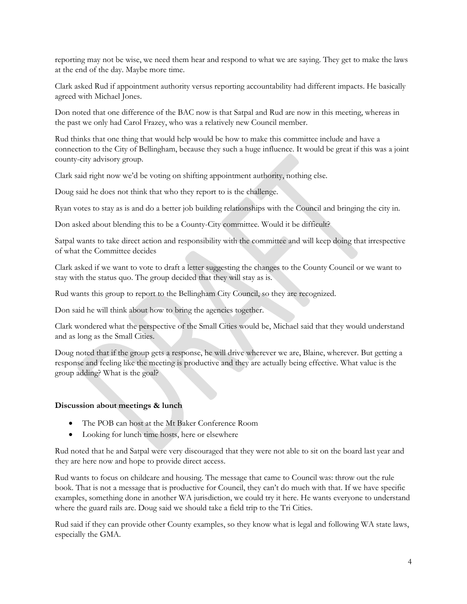reporting may not be wise, we need them hear and respond to what we are saying. They get to make the laws at the end of the day. Maybe more time.

Clark asked Rud if appointment authority versus reporting accountability had different impacts. He basically agreed with Michael Jones.

Don noted that one difference of the BAC now is that Satpal and Rud are now in this meeting, whereas in the past we only had Carol Frazey, who was a relatively new Council member.

Rud thinks that one thing that would help would be how to make this committee include and have a connection to the City of Bellingham, because they such a huge influence. It would be great if this was a joint county-city advisory group.

Clark said right now we'd be voting on shifting appointment authority, nothing else.

Doug said he does not think that who they report to is the challenge.

Ryan votes to stay as is and do a better job building relationships with the Council and bringing the city in.

Don asked about blending this to be a County-City committee. Would it be difficult?

Satpal wants to take direct action and responsibility with the committee and will keep doing that irrespective of what the Committee decides

Clark asked if we want to vote to draft a letter suggesting the changes to the County Council or we want to stay with the status quo. The group decided that they will stay as is.

Rud wants this group to report to the Bellingham City Council, so they are recognized.

Don said he will think about how to bring the agencies together.

Clark wondered what the perspective of the Small Cities would be, Michael said that they would understand and as long as the Small Cities.

Doug noted that if the group gets a response, he will drive wherever we are, Blaine, wherever. But getting a response and feeling like the meeting is productive and they are actually being effective. What value is the group adding? What is the goal?

### **Discussion about meetings & lunch**

- The POB can host at the Mt Baker Conference Room
- Looking for lunch time hosts, here or elsewhere

Rud noted that he and Satpal were very discouraged that they were not able to sit on the board last year and they are here now and hope to provide direct access.

Rud wants to focus on childcare and housing. The message that came to Council was: throw out the rule book. That is not a message that is productive for Council, they can't do much with that. If we have specific examples, something done in another WA jurisdiction, we could try it here. He wants everyone to understand where the guard rails are. Doug said we should take a field trip to the Tri Cities.

Rud said if they can provide other County examples, so they know what is legal and following WA state laws, especially the GMA.